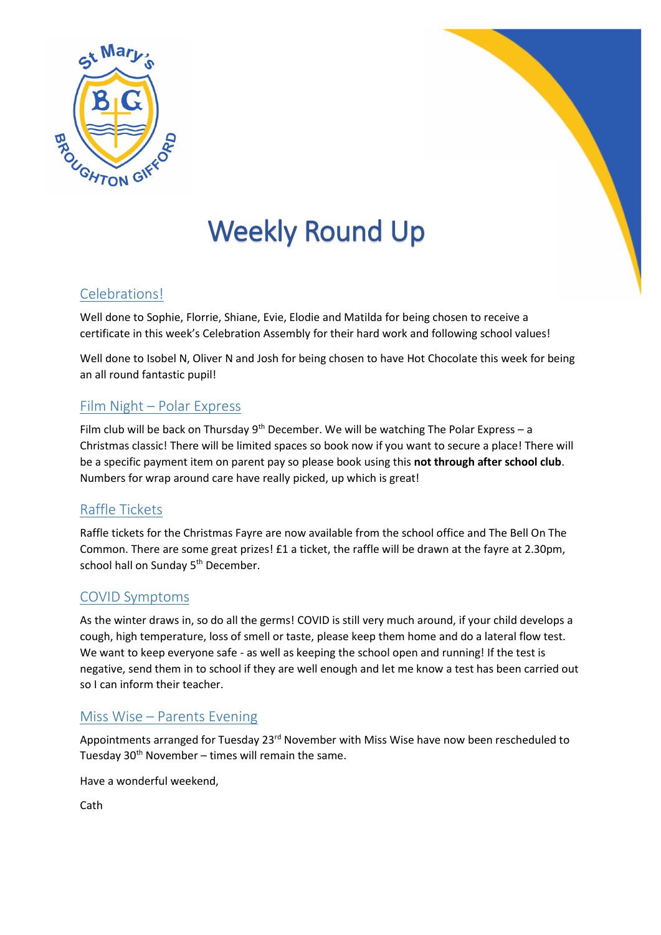

# Weekly Round Up

## Celebrations!

Well done to Sophie, Florrie, Shiane, Evie, Elodie and Matilda for being chosen to receive a certificate in this week's Celebration Assembly for their hard work and following school values!

Well done to Isobel N, Oliver N and Josh for being chosen to have Hot Chocolate this week for being an all round fantastic pupil!

#### Film Night – Polar Express

Film club will be back on Thursday  $9<sup>th</sup>$  December. We will be watching The Polar Express – a Christmas classic! There will be limited spaces so book now if you want to secure a place! There will be a specific payment item on parent pay so please book using this **not through after school club**. Numbers for wrap around care have really picked, up which is great!

### Raffle Tickets

Raffle tickets for the Christmas Fayre are now available from the school office and The Bell On The Common. There are some great prizes! £1 a ticket, the raffle will be drawn at the fayre at 2.30pm, school hall on Sunday 5<sup>th</sup> December.

#### COVID Symptoms

As the winter draws in, so do all the germs! COVID is still very much around, if your child develops a cough, high temperature, loss of smell or taste, please keep them home and do a lateral flow test. We want to keep everyone safe - as well as keeping the school open and running! If the test is negative, send them in to school if they are well enough and let me know a test has been carried out so I can inform their teacher.

#### Miss Wise – Parents Evening

Appointments arranged for Tuesday 23<sup>rd</sup> November with Miss Wise have now been rescheduled to Tuesday  $30<sup>th</sup>$  November – times will remain the same.

Have a wonderful weekend,

Cath